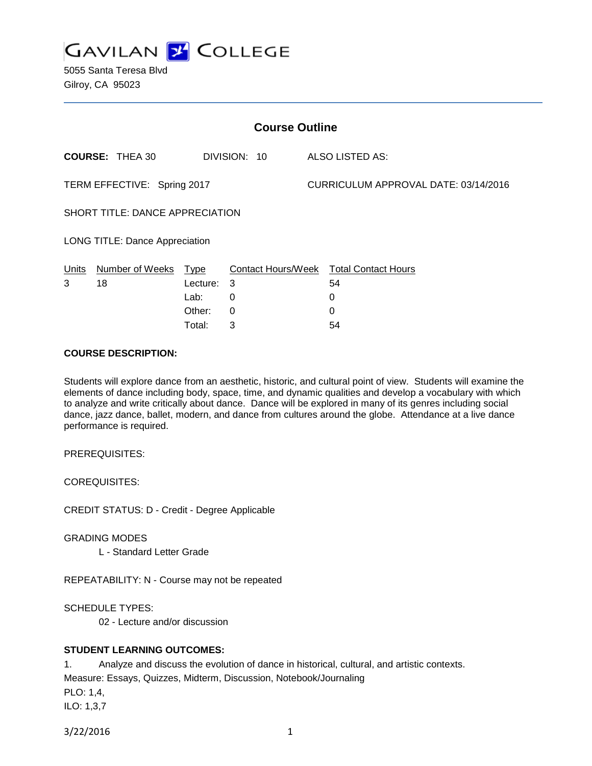

5055 Santa Teresa Blvd Gilroy, CA 95023

| <b>Course Outline</b>                 |                        |          |              |  |                                        |  |
|---------------------------------------|------------------------|----------|--------------|--|----------------------------------------|--|
|                                       | <b>COURSE: THEA 30</b> |          | DIVISION: 10 |  | ALSO LISTED AS:                        |  |
| TERM EFFECTIVE: Spring 2017           |                        |          |              |  | CURRICULUM APPROVAL DATE: 03/14/2016   |  |
| SHORT TITLE: DANCE APPRECIATION       |                        |          |              |  |                                        |  |
| <b>LONG TITLE: Dance Appreciation</b> |                        |          |              |  |                                        |  |
| Units                                 | Number of Weeks Type   |          |              |  | Contact Hours/Week Total Contact Hours |  |
| 3                                     | 18                     | Lecture: | -3           |  | 54                                     |  |
|                                       |                        | Lab:     | 0            |  | 0                                      |  |
|                                       |                        | Other:   | $\Omega$     |  | 0                                      |  |
|                                       |                        | Total:   | 3            |  | 54                                     |  |

#### **COURSE DESCRIPTION:**

Students will explore dance from an aesthetic, historic, and cultural point of view. Students will examine the elements of dance including body, space, time, and dynamic qualities and develop a vocabulary with which to analyze and write critically about dance. Dance will be explored in many of its genres including social dance, jazz dance, ballet, modern, and dance from cultures around the globe. Attendance at a live dance performance is required.

PREREQUISITES:

COREQUISITES:

CREDIT STATUS: D - Credit - Degree Applicable

GRADING MODES

L - Standard Letter Grade

REPEATABILITY: N - Course may not be repeated

SCHEDULE TYPES:

02 - Lecture and/or discussion

# **STUDENT LEARNING OUTCOMES:**

1. Analyze and discuss the evolution of dance in historical, cultural, and artistic contexts. Measure: Essays, Quizzes, Midterm, Discussion, Notebook/Journaling PLO: 1,4, ILO: 1,3,7

```
3/22/2016 1
```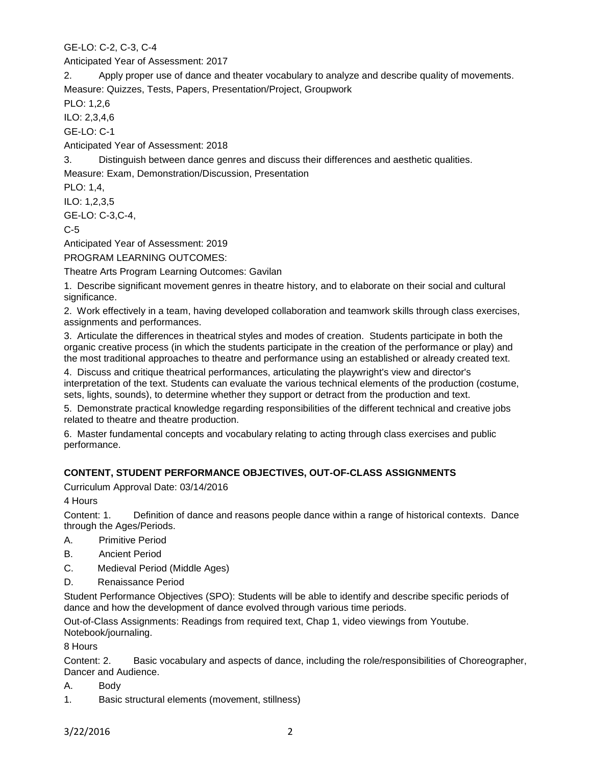GE-LO: C-2, C-3, C-4

Anticipated Year of Assessment: 2017

2. Apply proper use of dance and theater vocabulary to analyze and describe quality of movements. Measure: Quizzes, Tests, Papers, Presentation/Project, Groupwork

PLO: 1,2,6

ILO: 2,3,4,6

GE-LO: C-1

Anticipated Year of Assessment: 2018

3. Distinguish between dance genres and discuss their differences and aesthetic qualities.

Measure: Exam, Demonstration/Discussion, Presentation

PLO: 1,4,

ILO: 1,2,3,5

GE-LO: C-3,C-4,

C-5

Anticipated Year of Assessment: 2019

PROGRAM LEARNING OUTCOMES:

Theatre Arts Program Learning Outcomes: Gavilan

1. Describe significant movement genres in theatre history, and to elaborate on their social and cultural significance.

2. Work effectively in a team, having developed collaboration and teamwork skills through class exercises, assignments and performances.

3. Articulate the differences in theatrical styles and modes of creation. Students participate in both the organic creative process (in which the students participate in the creation of the performance or play) and the most traditional approaches to theatre and performance using an established or already created text.

4. Discuss and critique theatrical performances, articulating the playwright's view and director's interpretation of the text. Students can evaluate the various technical elements of the production (costume, sets, lights, sounds), to determine whether they support or detract from the production and text.

5. Demonstrate practical knowledge regarding responsibilities of the different technical and creative jobs related to theatre and theatre production.

6. Master fundamental concepts and vocabulary relating to acting through class exercises and public performance.

# **CONTENT, STUDENT PERFORMANCE OBJECTIVES, OUT-OF-CLASS ASSIGNMENTS**

Curriculum Approval Date: 03/14/2016

4 Hours

Content: 1. Definition of dance and reasons people dance within a range of historical contexts. Dance through the Ages/Periods.

A. Primitive Period

- B. Ancient Period
- C. Medieval Period (Middle Ages)
- D. Renaissance Period

Student Performance Objectives (SPO): Students will be able to identify and describe specific periods of dance and how the development of dance evolved through various time periods.

Out-of-Class Assignments: Readings from required text, Chap 1, video viewings from Youtube. Notebook/journaling.

8 Hours

Content: 2. Basic vocabulary and aspects of dance, including the role/responsibilities of Choreographer, Dancer and Audience.

- A. Body
- 1. Basic structural elements (movement, stillness)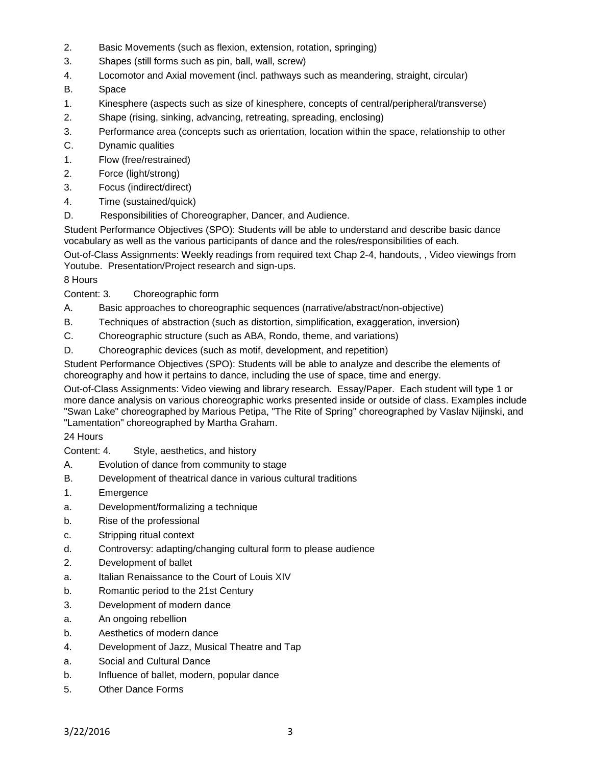- 2. Basic Movements (such as flexion, extension, rotation, springing)
- 3. Shapes (still forms such as pin, ball, wall, screw)
- 4. Locomotor and Axial movement (incl. pathways such as meandering, straight, circular)
- B. Space
- 1. Kinesphere (aspects such as size of kinesphere, concepts of central/peripheral/transverse)
- 2. Shape (rising, sinking, advancing, retreating, spreading, enclosing)
- 3. Performance area (concepts such as orientation, location within the space, relationship to other
- C. Dynamic qualities
- 1. Flow (free/restrained)
- 2. Force (light/strong)
- 3. Focus (indirect/direct)
- 4. Time (sustained/quick)
- D. Responsibilities of Choreographer, Dancer, and Audience.

Student Performance Objectives (SPO): Students will be able to understand and describe basic dance vocabulary as well as the various participants of dance and the roles/responsibilities of each.

Out-of-Class Assignments: Weekly readings from required text Chap 2-4, handouts, , Video viewings from Youtube. Presentation/Project research and sign-ups.

8 Hours

Content: 3. Choreographic form

- A. Basic approaches to choreographic sequences (narrative/abstract/non-objective)
- B. Techniques of abstraction (such as distortion, simplification, exaggeration, inversion)
- C. Choreographic structure (such as ABA, Rondo, theme, and variations)
- D. Choreographic devices (such as motif, development, and repetition)

Student Performance Objectives (SPO): Students will be able to analyze and describe the elements of choreography and how it pertains to dance, including the use of space, time and energy.

Out-of-Class Assignments: Video viewing and library research. Essay/Paper. Each student will type 1 or more dance analysis on various choreographic works presented inside or outside of class. Examples include "Swan Lake" choreographed by Marious Petipa, "The Rite of Spring" choreographed by Vaslav Nijinski, and "Lamentation" choreographed by Martha Graham.

24 Hours

Content: 4. Style, aesthetics, and history

- A. Evolution of dance from community to stage
- B. Development of theatrical dance in various cultural traditions
- 1. Emergence
- a. Development/formalizing a technique
- b. Rise of the professional
- c. Stripping ritual context
- d. Controversy: adapting/changing cultural form to please audience
- 2. Development of ballet
- a. Italian Renaissance to the Court of Louis XIV
- b. Romantic period to the 21st Century
- 3. Development of modern dance
- a. An ongoing rebellion
- b. Aesthetics of modern dance
- 4. Development of Jazz, Musical Theatre and Tap
- a. Social and Cultural Dance
- b. Influence of ballet, modern, popular dance
- 5. Other Dance Forms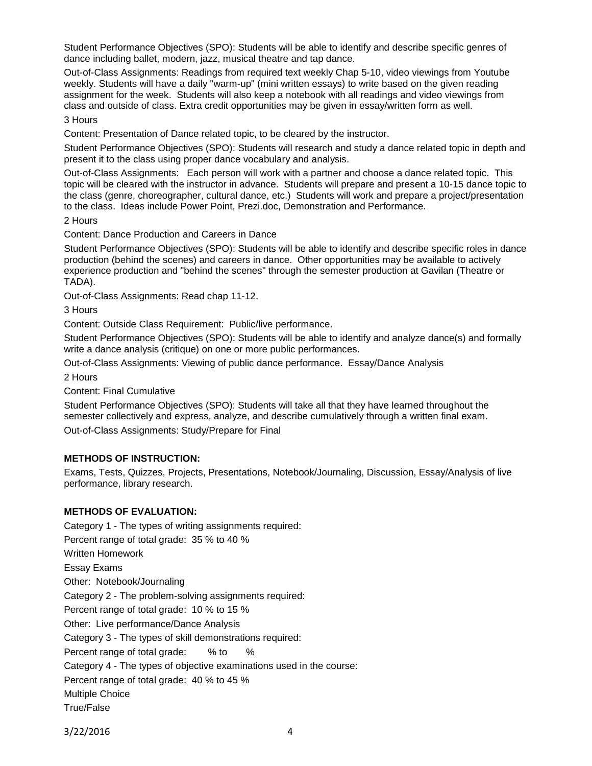Student Performance Objectives (SPO): Students will be able to identify and describe specific genres of dance including ballet, modern, jazz, musical theatre and tap dance.

Out-of-Class Assignments: Readings from required text weekly Chap 5-10, video viewings from Youtube weekly. Students will have a daily "warm-up" (mini written essays) to write based on the given reading assignment for the week. Students will also keep a notebook with all readings and video viewings from class and outside of class. Extra credit opportunities may be given in essay/written form as well.

#### 3 Hours

Content: Presentation of Dance related topic, to be cleared by the instructor.

Student Performance Objectives (SPO): Students will research and study a dance related topic in depth and present it to the class using proper dance vocabulary and analysis.

Out-of-Class Assignments: Each person will work with a partner and choose a dance related topic. This topic will be cleared with the instructor in advance. Students will prepare and present a 10-15 dance topic to the class (genre, choreographer, cultural dance, etc.) Students will work and prepare a project/presentation to the class. Ideas include Power Point, Prezi.doc, Demonstration and Performance.

2 Hours

Content: Dance Production and Careers in Dance

Student Performance Objectives (SPO): Students will be able to identify and describe specific roles in dance production (behind the scenes) and careers in dance. Other opportunities may be available to actively experience production and "behind the scenes" through the semester production at Gavilan (Theatre or TADA).

Out-of-Class Assignments: Read chap 11-12.

3 Hours

Content: Outside Class Requirement: Public/live performance.

Student Performance Objectives (SPO): Students will be able to identify and analyze dance(s) and formally write a dance analysis (critique) on one or more public performances.

Out-of-Class Assignments: Viewing of public dance performance. Essay/Dance Analysis

2 Hours

Content: Final Cumulative

Student Performance Objectives (SPO): Students will take all that they have learned throughout the semester collectively and express, analyze, and describe cumulatively through a written final exam. Out-of-Class Assignments: Study/Prepare for Final

# **METHODS OF INSTRUCTION:**

Exams, Tests, Quizzes, Projects, Presentations, Notebook/Journaling, Discussion, Essay/Analysis of live performance, library research.

# **METHODS OF EVALUATION:**

Category 1 - The types of writing assignments required: Percent range of total grade: 35 % to 40 % Written Homework Essay Exams Other: Notebook/Journaling Category 2 - The problem-solving assignments required: Percent range of total grade: 10 % to 15 % Other: Live performance/Dance Analysis Category 3 - The types of skill demonstrations required: Percent range of total grade: % to % Category 4 - The types of objective examinations used in the course: Percent range of total grade: 40 % to 45 % Multiple Choice True/False

3/22/2016 4